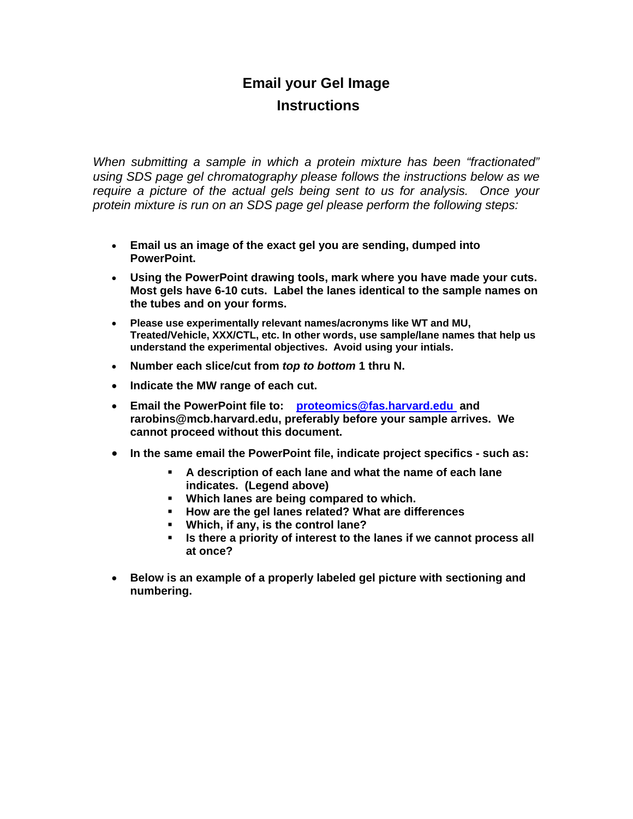## **Email your Gel Image Instructions**

*When submitting a sample in which a protein mixture has been "fractionated" using SDS page gel chromatography please follows the instructions below as we require a picture of the actual gels being sent to us for analysis. Once your protein mixture is run on an SDS page gel please perform the following steps:* 

- **Email us an image of the exact gel you are sending, dumped into PowerPoint.**
- **Using the PowerPoint drawing tools, mark where you have made your cuts. Most gels have 6-10 cuts. Label the lanes identical to the sample names on the tubes and on your forms.**
- **Please use experimentally relevant names/acronyms like WT and MU, Treated/Vehicle, XXX/CTL, etc. In other words, use sample/lane names that help us understand the experimental objectives. Avoid using your intials.**
- **Number each slice/cut from** *top to bottom* **1 thru N.**
- **Indicate the MW range of each cut.**
- **Email the PowerPoint file to: proteomics@fas.harvard.edu and rarobins@mcb.harvard.edu, preferably before your sample arrives. We cannot proceed without this document.**
- **In the same email the PowerPoint file, indicate project specifics such as:**
	- **A description of each lane and what the name of each lane indicates. (Legend above)**
	- **Which lanes are being compared to which.**
	- **How are the gel lanes related? What are differences**
	- **Which, if any, is the control lane?**
	- **Is there a priority of interest to the lanes if we cannot process all at once?**
- **Below is an example of a properly labeled gel picture with sectioning and numbering.**